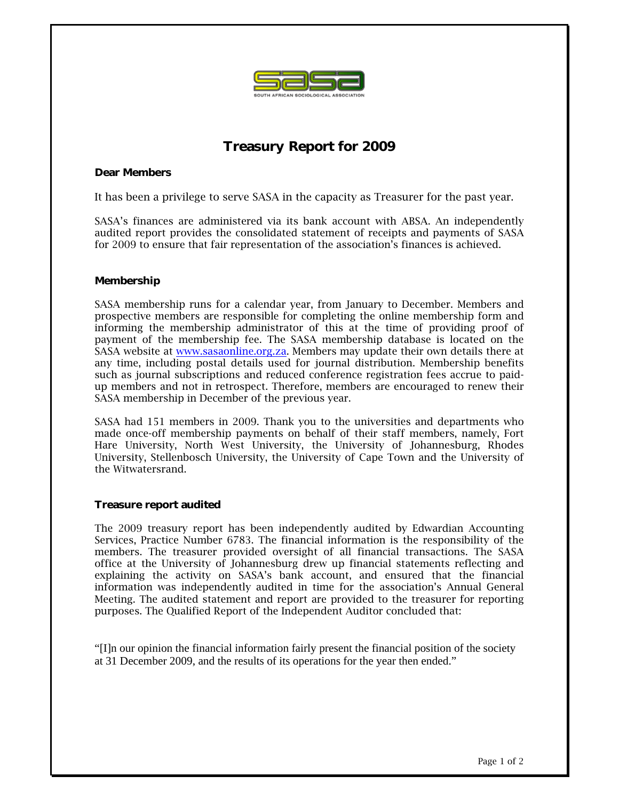

# **Treasury Report for 2009**

## **Dear Members**

It has been a privilege to serve SASA in the capacity as Treasurer for the past year.

SASA's finances are administered via its bank account with ABSA. An independently audited report provides the consolidated statement of receipts and payments of SASA for 2009 to ensure that fair representation of the association's finances is achieved.

### **Membership**

SASA membership runs for a calendar year, from January to December. Members and prospective members are responsible for completing the online membership form and informing the membership administrator of this at the time of providing proof of payment of the membership fee. The SASA membership database is located on the SASA website at www.sasaonline.org.za. Members may update their own details there at any time, including postal details used for journal distribution. Membership benefits such as journal subscriptions and reduced conference registration fees accrue to paidup members and not in retrospect. Therefore, members are encouraged to renew their SASA membership in December of the previous year.

SASA had 151 members in 2009. Thank you to the universities and departments who made once-off membership payments on behalf of their staff members, namely, Fort Hare University, North West University, the University of Johannesburg, Rhodes University, Stellenbosch University, the University of Cape Town and the University of the Witwatersrand.

#### **Treasure report audited**

The 2009 treasury report has been independently audited by Edwardian Accounting Services, Practice Number 6783. The financial information is the responsibility of the members. The treasurer provided oversight of all financial transactions. The SASA office at the University of Johannesburg drew up financial statements reflecting and explaining the activity on SASA's bank account, and ensured that the financial information was independently audited in time for the association's Annual General Meeting. The audited statement and report are provided to the treasurer for reporting purposes. The Qualified Report of the Independent Auditor concluded that:

"[I]n our opinion the financial information fairly present the financial position of the society at 31 December 2009, and the results of its operations for the year then ended."